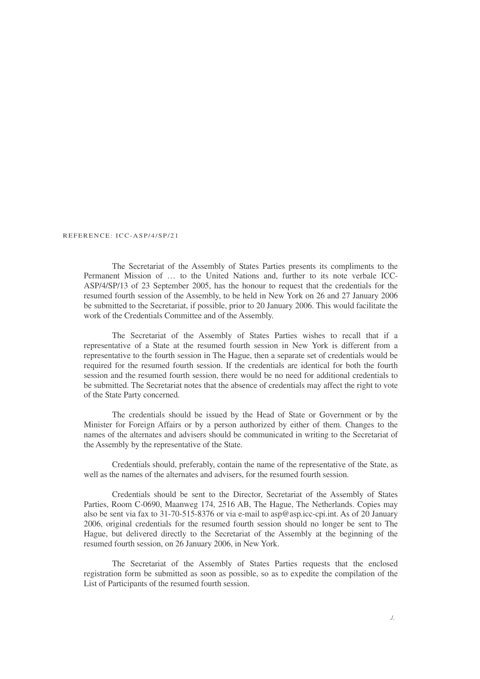## REFERENCE: ICC-ASP/4/SP/21

The Secretariat of the Assembly of States Parties presents its compliments to the Permanent Mission of … to the United Nations and, further to its note verbale ICC-ASP/4/SP/13 of 23 September 2005, has the honour to request that the credentials for the resumed fourth session of the Assembly, to be held in New York on 26 and 27 January 2006 be submitted to the Secretariat, if possible, prior to 20 January 2006. This would facilitate the work of the Credentials Committee and of the Assembly.

The Secretariat of the Assembly of States Parties wishes to recall that if a representative of a State at the resumed fourth session in New York is different from a representative to the fourth session in The Hague, then a separate set of credentials would be required for the resumed fourth session. If the credentials are identical for both the fourth session and the resumed fourth session, there would be no need for additional credentials to be submitted. The Secretariat notes that the absence of credentials may affect the right to vote of the State Party concerned.

The credentials should be issued by the Head of State or Government or by the Minister for Foreign Affairs or by a person authorized by either of them. Changes to the names of the alternates and advisers should be communicated in writing to the Secretariat of the Assembly by the representative of the State.

Credentials should, preferably, contain the name of the representative of the State, as well as the names of the alternates and advisers, for the resumed fourth session.

Credentials should be sent to the Director, Secretariat of the Assembly of States Parties, Room C-0690, Maanweg 174, 2516 AB, The Hague, The Netherlands. Copies may also be sent via fax to 31-70-515-8376 or via e-mail to asp@asp.icc-cpi.int. As of 20 January 2006, original credentials for the resumed fourth session should no longer be sent to The Hague, but delivered directly to the Secretariat of the Assembly at the beginning of the resumed fourth session, on 26 January 2006, in New York.

The Secretariat of the Assembly of States Parties requests that the enclosed registration form be submitted as soon as possible, so as to expedite the compilation of the List of Participants of the resumed fourth session.